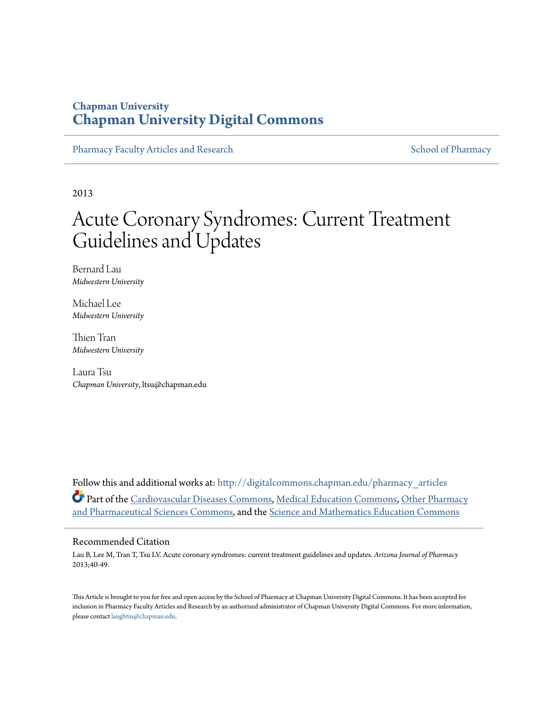## **Chapman University [Chapman University Digital Commons](http://digitalcommons.chapman.edu?utm_source=digitalcommons.chapman.edu%2Fpharmacy_articles%2F216&utm_medium=PDF&utm_campaign=PDFCoverPages)**

[Pharmacy Faculty Articles and Research](http://digitalcommons.chapman.edu/pharmacy_articles?utm_source=digitalcommons.chapman.edu%2Fpharmacy_articles%2F216&utm_medium=PDF&utm_campaign=PDFCoverPages) [School of Pharmacy](http://digitalcommons.chapman.edu/cusp?utm_source=digitalcommons.chapman.edu%2Fpharmacy_articles%2F216&utm_medium=PDF&utm_campaign=PDFCoverPages)

2013

# Acute Coronary Syndromes: Current Treatment Guidelines and Updates

Bernard Lau *Midwestern University*

Michael Lee *Midwestern University*

Thien Tran *Midwestern University*

Laura Tsu *Chapman University*, ltsu@chapman.edu

Follow this and additional works at: [http://digitalcommons.chapman.edu/pharmacy\\_articles](http://digitalcommons.chapman.edu/pharmacy_articles?utm_source=digitalcommons.chapman.edu%2Fpharmacy_articles%2F216&utm_medium=PDF&utm_campaign=PDFCoverPages) Part of the [Cardiovascular Diseases Commons,](http://network.bepress.com/hgg/discipline/929?utm_source=digitalcommons.chapman.edu%2Fpharmacy_articles%2F216&utm_medium=PDF&utm_campaign=PDFCoverPages) [Medical Education Commons,](http://network.bepress.com/hgg/discipline/1125?utm_source=digitalcommons.chapman.edu%2Fpharmacy_articles%2F216&utm_medium=PDF&utm_campaign=PDFCoverPages) [Other Pharmacy](http://network.bepress.com/hgg/discipline/737?utm_source=digitalcommons.chapman.edu%2Fpharmacy_articles%2F216&utm_medium=PDF&utm_campaign=PDFCoverPages) [and Pharmaceutical Sciences Commons](http://network.bepress.com/hgg/discipline/737?utm_source=digitalcommons.chapman.edu%2Fpharmacy_articles%2F216&utm_medium=PDF&utm_campaign=PDFCoverPages), and the [Science and Mathematics Education Commons](http://network.bepress.com/hgg/discipline/800?utm_source=digitalcommons.chapman.edu%2Fpharmacy_articles%2F216&utm_medium=PDF&utm_campaign=PDFCoverPages)

## Recommended Citation

Lau B, Lee M, Tran T, Tsu LV. Acute coronary syndromes: current treatment guidelines and updates. *Arizona Journal of Pharmacy* 2013;40-49.

This Article is brought to you for free and open access by the School of Pharmacy at Chapman University Digital Commons. It has been accepted for inclusion in Pharmacy Faculty Articles and Research by an authorized administrator of Chapman University Digital Commons. For more information, please contact [laughtin@chapman.edu.](mailto:laughtin@chapman.edu)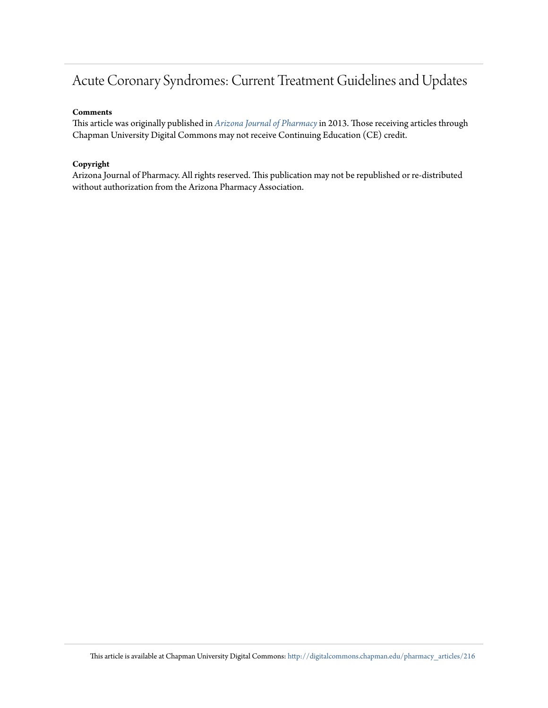## Acute Coronary Syndromes: Current Treatment Guidelines and Updates

### **Comments**

This article was originally published in *[Arizona Journal of Pharmacy](http://www.azpharmacy.org/?page=AJP)*in 2013. Those receiving articles through Chapman University Digital Commons may not receive Continuing Education (CE) credit.

## **Copyright**

Arizona Journal of Pharmacy. All rights reserved. This publication may not be republished or re-distributed without authorization from the Arizona Pharmacy Association.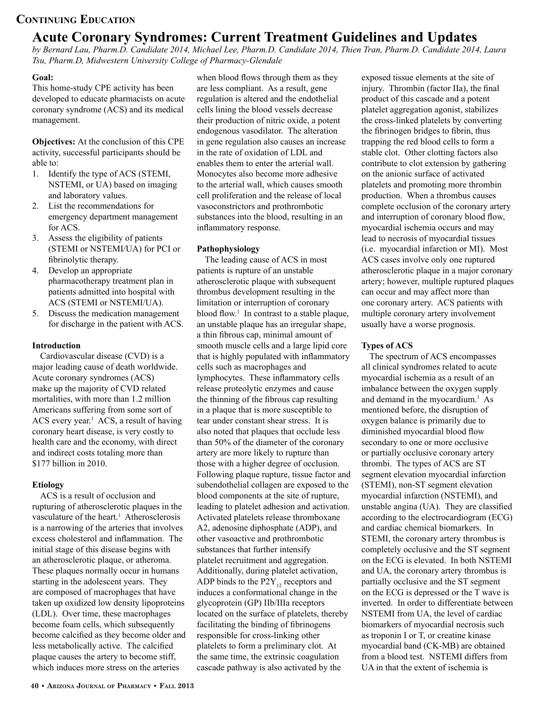## **Acute Coronary Syndromes: Current Treatment Guidelines and Updates**

*by Bernard Lau, Pharm.D. Candidate 2014, Michael Lee, Pharm.D. Candidate 2014, Thien Tran, Pharm.D. Candidate 2014, Laura Tsu, Pharm.D, Midwestern University College of Pharmacy-Glendale*

## **Goal:**

This home-study CPE activity has been developed to educate pharmacists on acute coronary syndrome (ACS) and its medical management.

**Objectives:** At the conclusion of this CPE activity, successful participants should be able to:

- 1. Identify the type of ACS (STEMI, NSTEMI, or UA) based on imaging and laboratory values.
- 2. List the recommendations for emergency department management for ACS.
- 3. Assess the eligibility of patients (STEMI or NSTEMI/UA) for PCI or fibrinolytic therapy.
- 4. Develop an appropriate pharmacotherapy treatment plan in patients admitted into hospital with ACS (STEMI or NSTEMI/UA).
- 5. Discuss the medication management for discharge in the patient with ACS.

## **Introduction**

Cardiovascular disease (CVD) is a major leading cause of death worldwide. Acute coronary syndromes (ACS) make up the majority of CVD related mortalities, with more than 1.2 million Americans suffering from some sort of ACS every year.<sup>1</sup> ACS, a result of having coronary heart disease, is very costly to health care and the economy, with direct and indirect costs totaling more than \$177 billion in 2010.

## **Etiology**

ACS is a result of occlusion and rupturing of atherosclerotic plaques in the vasculature of the heart.<sup>1</sup> Atherosclerosis is a narrowing of the arteries that involves excess cholesterol and inflammation. The initial stage of this disease begins with an atherosclerotic plaque, or atheroma. These plaques normally occur in humans starting in the adolescent years. They are composed of macrophages that have taken up oxidized low density lipoproteins (LDL). Over time, these macrophages become foam cells, which subsequently become calcified as they become older and less metabolically active. The calcified plaque causes the artery to become stiff, which induces more stress on the arteries

when blood flows through them as they are less compliant. As a result, gene regulation is altered and the endothelial cells lining the blood vessels decrease their production of nitric oxide, a potent endogenous vasodilator. The alteration in gene regulation also causes an increase in the rate of oxidation of LDL and enables them to enter the arterial wall. Monocytes also become more adhesive to the arterial wall, which causes smooth cell proliferation and the release of local vasoconstrictors and prothrombotic substances into the blood, resulting in an inflammatory response.

## **Pathophysiology**

The leading cause of ACS in most patients is rupture of an unstable atherosclerotic plaque with subsequent thrombus development resulting in the limitation or interruption of coronary blood flow.<sup>1</sup> In contrast to a stable plaque, an unstable plaque has an irregular shape, a thin fibrous cap, minimal amount of smooth muscle cells and a large lipid core that is highly populated with inflammatory cells such as macrophages and lymphocytes. These inflammatory cells release proteolytic enzymes and cause the thinning of the fibrous cap resulting in a plaque that is more susceptible to tear under constant shear stress. It is also noted that plaques that occlude less than 50% of the diameter of the coronary artery are more likely to rupture than those with a higher degree of occlusion. Following plaque rupture, tissue factor and subendothelial collagen are exposed to the blood components at the site of rupture, leading to platelet adhesion and activation. Activated platelets release thromboxane A2, adenosine diphosphate (ADP), and other vasoactive and prothrombotic substances that further intensify platelet recruitment and aggregation. Additionally, during platelet activation, ADP binds to the  $P2Y_{12}$  receptors and induces a conformational change in the glycoprotein (GP) IIb/IIIa receptors located on the surface of platelets, thereby facilitating the binding of fibrinogens responsible for cross-linking other platelets to form a preliminary clot. At the same time, the extrinsic coagulation cascade pathway is also activated by the

exposed tissue elements at the site of injury. Thrombin (factor IIa), the final product of this cascade and a potent platelet aggregation agonist, stabilizes the cross-linked platelets by converting the fibrinogen bridges to fibrin, thus trapping the red blood cells to form a stable clot. Other clotting factors also contribute to clot extension by gathering on the anionic surface of activated platelets and promoting more thrombin production. When a thrombus causes complete occlusion of the coronary artery and interruption of coronary blood flow, myocardial ischemia occurs and may lead to necrosis of myocardial tissues (i.e. myocardial infarction or MI). Most ACS cases involve only one ruptured atherosclerotic plaque in a major coronary artery; however, multiple ruptured plaques can occur and may affect more than one coronary artery. ACS patients with multiple coronary artery involvement usually have a worse prognosis.

## **Types of ACS**

The spectrum of ACS encompasses all clinical syndromes related to acute myocardial ischemia as a result of an imbalance between the oxygen supply and demand in the myocardium.<sup>1</sup> As mentioned before, the disruption of oxygen balance is primarily due to diminished myocardial blood flow secondary to one or more occlusive or partially occlusive coronary artery thrombi. The types of ACS are ST segment elevation myocardial infarction (STEMI), non-ST segment elevation myocardial infarction (NSTEMI), and unstable angina (UA). They are classified according to the electrocardiogram (ECG) and cardiac chemical biomarkers. In STEMI, the coronary artery thrombus is completely occlusive and the ST segment on the ECG is elevated. In both NSTEMI and UA, the coronary artery thrombus is partially occlusive and the ST segment on the ECG is depressed or the T wave is inverted. In order to differentiate between NSTEMI from UA, the level of cardiac biomarkers of myocardial necrosis such as troponin I or T, or creatine kinase myocardial band (CK-MB) are obtained from a blood test. NSTEMI differs from UA in that the extent of ischemia is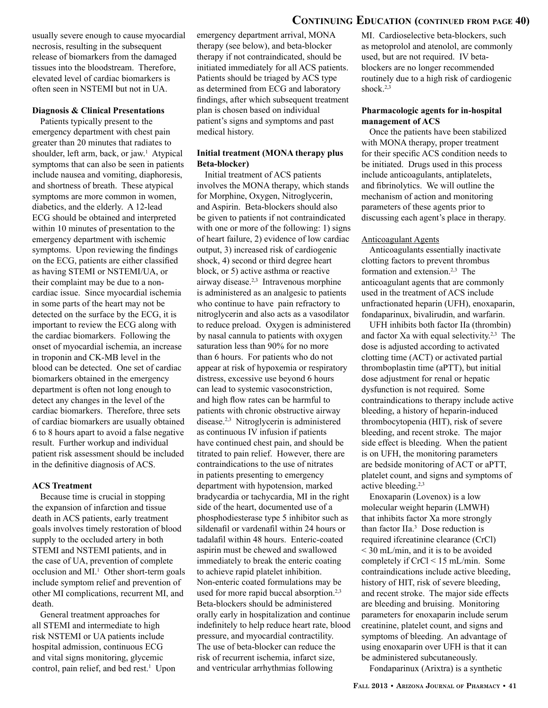usually severe enough to cause myocardial necrosis, resulting in the subsequent release of biomarkers from the damaged tissues into the bloodstream. Therefore, elevated level of cardiac biomarkers is often seen in NSTEMI but not in UA.

#### **Diagnosis & Clinical Presentations**

Patients typically present to the emergency department with chest pain greater than 20 minutes that radiates to shoulder, left arm, back, or jaw.<sup>1</sup> Atypical symptoms that can also be seen in patients include nausea and vomiting, diaphoresis, and shortness of breath. These atypical symptoms are more common in women, diabetics, and the elderly. A 12-lead ECG should be obtained and interpreted within 10 minutes of presentation to the emergency department with ischemic symptoms. Upon reviewing the findings on the ECG, patients are either classified as having STEMI or NSTEMI/UA, or their complaint may be due to a noncardiac issue. Since myocardial ischemia in some parts of the heart may not be detected on the surface by the ECG, it is important to review the ECG along with the cardiac biomarkers. Following the onset of myocardial ischemia, an increase in troponin and CK-MB level in the blood can be detected. One set of cardiac biomarkers obtained in the emergency department is often not long enough to detect any changes in the level of the cardiac biomarkers. Therefore, three sets of cardiac biomarkers are usually obtained 6 to 8 hours apart to avoid a false negative result. Further workup and individual patient risk assessment should be included in the definitive diagnosis of ACS.

#### **ACS Treatment**

Because time is crucial in stopping the expansion of infarction and tissue death in ACS patients, early treatment goals involves timely restoration of blood supply to the occluded artery in both STEMI and NSTEMI patients, and in the case of UA, prevention of complete occlusion and MI.<sup>1</sup> Other short-term goals include symptom relief and prevention of other MI complications, recurrent MI, and death.

General treatment approaches for all STEMI and intermediate to high risk NSTEMI or UA patients include hospital admission, continuous ECG and vital signs monitoring, glycemic control, pain relief, and bed rest.<sup>1</sup> Upon emergency department arrival, MONA therapy (see below), and beta-blocker therapy if not contraindicated, should be initiated immediately for all ACS patients. Patients should be triaged by ACS type as determined from ECG and laboratory findings, after which subsequent treatment plan is chosen based on individual patient's signs and symptoms and past medical history.

#### **Initial treatment (MONA therapy plus Beta-blocker)**

Initial treatment of ACS patients involves the MONA therapy, which stands for Morphine, Oxygen, Nitroglycerin, and Aspirin. Beta-blockers should also be given to patients if not contraindicated with one or more of the following: 1) signs of heart failure, 2) evidence of low cardiac output, 3) increased risk of cardiogenic shock, 4) second or third degree heart block, or 5) active asthma or reactive airway disease.2,3 Intravenous morphine is administered as an analgesic to patients who continue to have pain refractory to nitroglycerin and also acts as a vasodilator to reduce preload. Oxygen is administered by nasal cannula to patients with oxygen saturation less than 90% for no more than 6 hours. For patients who do not appear at risk of hypoxemia or respiratory distress, excessive use beyond 6 hours can lead to systemic vasoconstriction, and high flow rates can be harmful to patients with chronic obstructive airway disease.2,3 Nitroglycerin is administered as continuous IV infusion if patients have continued chest pain, and should be titrated to pain relief. However, there are contraindications to the use of nitrates in patients presenting to emergency department with hypotension, marked bradycardia or tachycardia, MI in the right side of the heart, documented use of a phosphodiesterase type 5 inhibitor such as sildenafil or vardenafil within 24 hours or tadalafil within 48 hours. Enteric-coated aspirin must be chewed and swallowed immediately to break the enteric coating to achieve rapid platelet inhibition. Non-enteric coated formulations may be used for more rapid buccal absorption.<sup>2,3</sup> Beta-blockers should be administered orally early in hospitalization and continue indefinitely to help reduce heart rate, blood pressure, and myocardial contractility. The use of beta-blocker can reduce the risk of recurrent ischemia, infarct size, and ventricular arrhythmias following

## **Continuing Education (continued from page 40)**

MI. Cardioselective beta-blockers, such as metoprolol and atenolol, are commonly used, but are not required. IV betablockers are no longer recommended routinely due to a high risk of cardiogenic shock.<sup>2,3</sup>

#### **Pharmacologic agents for in-hospital management of ACS**

Once the patients have been stabilized with MONA therapy, proper treatment for their specific ACS condition needs to be initiated. Drugs used in this process include anticoagulants, antiplatelets, and fibrinolytics. We will outline the mechanism of action and monitoring parameters of these agents prior to discussing each agent's place in therapy.

#### Anticoagulant Agents

Anticoagulants essentially inactivate clotting factors to prevent thrombus formation and extension.2,3 The anticoagulant agents that are commonly used in the treatment of ACS include unfractionated heparin (UFH), enoxaparin, fondaparinux, bivalirudin, and warfarin.

UFH inhibits both factor IIa (thrombin) and factor Xa with equal selectivity.2,3 The dose is adjusted according to activated clotting time (ACT) or activated partial thromboplastin time (aPTT), but initial dose adjustment for renal or hepatic dysfunction is not required. Some contraindications to therapy include active bleeding, a history of heparin-induced thrombocytopenia (HIT), risk of severe bleeding, and recent stroke. The major side effect is bleeding. When the patient is on UFH, the monitoring parameters are bedside monitoring of ACT or aPTT, platelet count, and signs and symptoms of active bleeding.2,3

Enoxaparin (Lovenox) is a low molecular weight heparin (LMWH) that inhibits factor Xa more strongly than factor IIa.3 Dose reduction is required ifcreatinine clearance (CrCl) < 30 mL/min, and it is to be avoided completely if CrCl < 15 mL/min. Some contraindications include active bleeding, history of HIT, risk of severe bleeding, and recent stroke. The major side effects are bleeding and bruising. Monitoring parameters for enoxaparin include serum creatinine, platelet count, and signs and symptoms of bleeding. An advantage of using enoxaparin over UFH is that it can be administered subcutaneously.

Fondaparinux (Arixtra) is a synthetic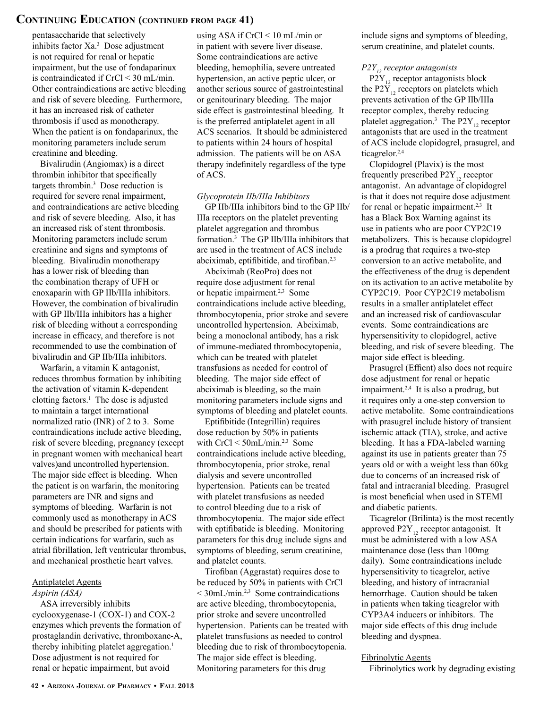## **Continuing Education (continued from page 41)**

pentasaccharide that selectively inhibits factor Xa.3 Dose adjustment is not required for renal or hepatic impairment, but the use of fondaparinux is contraindicated if CrCl < 30 mL/min. Other contraindications are active bleeding and risk of severe bleeding. Furthermore, it has an increased risk of catheter thrombosis if used as monotherapy. When the patient is on fondaparinux, the monitoring parameters include serum creatinine and bleeding.

Bivalirudin (Angiomax) is a direct thrombin inhibitor that specifically targets thrombin.3 Dose reduction is required for severe renal impairment, and contraindications are active bleeding and risk of severe bleeding. Also, it has an increased risk of stent thrombosis. Monitoring parameters include serum creatinine and signs and symptoms of bleeding. Bivalirudin monotherapy has a lower risk of bleeding than the combination therapy of UFH or enoxaparin with GP IIb/IIIa inhibitors. However, the combination of bivalirudin with GP IIb/IIIa inhibitors has a higher risk of bleeding without a corresponding increase in efficacy, and therefore is not recommended to use the combination of bivalirudin and GP IIb/IIIa inhibitors.

Warfarin, a vitamin K antagonist, reduces thrombus formation by inhibiting the activation of vitamin K-dependent clotting factors.<sup>1</sup> The dose is adjusted to maintain a target international normalized ratio (INR) of 2 to 3. Some contraindications include active bleeding, risk of severe bleeding, pregnancy (except in pregnant women with mechanical heart valves)and uncontrolled hypertension. The major side effect is bleeding. When the patient is on warfarin, the monitoring parameters are INR and signs and symptoms of bleeding. Warfarin is not commonly used as monotherapy in ACS and should be prescribed for patients with certain indications for warfarin, such as atrial fibrillation, left ventricular thrombus, and mechanical prosthetic heart valves.

### Antiplatelet Agents

#### *Aspirin (ASA)*

ASA irreversibly inhibits cyclooxygenase-1 (COX-1) and COX-2 enzymes which prevents the formation of prostaglandin derivative, thromboxane-A, thereby inhibiting platelet aggregation.<sup>1</sup> Dose adjustment is not required for renal or hepatic impairment, but avoid

using ASA if CrCl < 10 mL/min or in patient with severe liver disease. Some contraindications are active bleeding, hemophilia, severe untreated hypertension, an active peptic ulcer, or another serious source of gastrointestinal or genitourinary bleeding. The major side effect is gastrointestinal bleeding. It is the preferred antiplatelet agent in all ACS scenarios. It should be administered to patients within 24 hours of hospital admission. The patients will be on ASA therapy indefinitely regardless of the type of ACS.

### *Glycoprotein IIb/IIIa Inhibitors*

GP IIb/IIIa inhibitors bind to the GP IIb/ IIIa receptors on the platelet preventing platelet aggregation and thrombus formation.3 The GP IIb/IIIa inhibitors that are used in the treatment of ACS include abciximab, eptifibitide, and tirofiban.2,3

Abciximab (ReoPro) does not require dose adjustment for renal or hepatic impairment.2,3 Some contraindications include active bleeding, thrombocytopenia, prior stroke and severe uncontrolled hypertension. Abciximab, being a monoclonal antibody, has a risk of immune-mediated thrombocytopenia, which can be treated with platelet transfusions as needed for control of bleeding. The major side effect of abciximab is bleeding, so the main monitoring parameters include signs and symptoms of bleeding and platelet counts.

Eptifibitide (Integrillin) requires dose reduction by 50% in patients with CrCl < 50mL/min.<sup>2,3</sup> Some contraindications include active bleeding, thrombocytopenia, prior stroke, renal dialysis and severe uncontrolled hypertension. Patients can be treated with platelet transfusions as needed to control bleeding due to a risk of thrombocytopenia. The major side effect with eptifibatide is bleeding. Monitoring parameters for this drug include signs and symptoms of bleeding, serum creatinine, and platelet counts.

Tirofiban (Aggrastat) requires dose to be reduced by 50% in patients with CrCl  $<$  30mL/min.<sup>2,3</sup> Some contraindications are active bleeding, thrombocytopenia, prior stroke and severe uncontrolled hypertension. Patients can be treated with platelet transfusions as needed to control bleeding due to risk of thrombocytopenia. The major side effect is bleeding. Monitoring parameters for this drug

include signs and symptoms of bleeding, serum creatinine, and platelet counts.

#### *P2Y<sub>1</sub>*, receptor antagonists

 $P2Y_{12}$  receptor antagonists block the P2 $\overline{Y}_{12}$  receptors on platelets which prevents activation of the GP IIb/IIIa receptor complex, thereby reducing platelet aggregation.<sup>3</sup> The  $P2Y_{12}$  receptor antagonists that are used in the treatment of ACS include clopidogrel, prasugrel, and ticagrelor.2,4

Clopidogrel (Plavix) is the most frequently prescribed  $P2Y_{12}$  receptor antagonist. An advantage of clopidogrel is that it does not require dose adjustment for renal or hepatic impairment.<sup>2,3</sup> It has a Black Box Warning against its use in patients who are poor CYP2C19 metabolizers. This is because clopidogrel is a prodrug that requires a two-step conversion to an active metabolite, and the effectiveness of the drug is dependent on its activation to an active metabolite by CYP2C19. Poor CYP2C19 metabolism results in a smaller antiplatelet effect and an increased risk of cardiovascular events. Some contraindications are hypersensitivity to clopidogrel, active bleeding, and risk of severe bleeding. The major side effect is bleeding.

Prasugrel (Effient) also does not require dose adjustment for renal or hepatic impairment.<sup>2,4</sup> It is also a prodrug, but it requires only a one-step conversion to active metabolite. Some contraindications with prasugrel include history of transient ischemic attack (TIA), stroke, and active bleeding. It has a FDA-labeled warning against its use in patients greater than 75 years old or with a weight less than 60kg due to concerns of an increased risk of fatal and intracranial bleeding. Prasugrel is most beneficial when used in STEMI and diabetic patients.

Ticagrelor (Brilinta) is the most recently approved  $P2Y_{12}$  receptor antagonist. It must be administered with a low ASA maintenance dose (less than 100mg daily). Some contraindications include hypersensitivity to ticagrelor, active bleeding, and history of intracranial hemorrhage. Caution should be taken in patients when taking ticagrelor with CYP3A4 inducers or inhibitors. The major side effects of this drug include bleeding and dyspnea.

#### Fibrinolytic Agents

Fibrinolytics work by degrading existing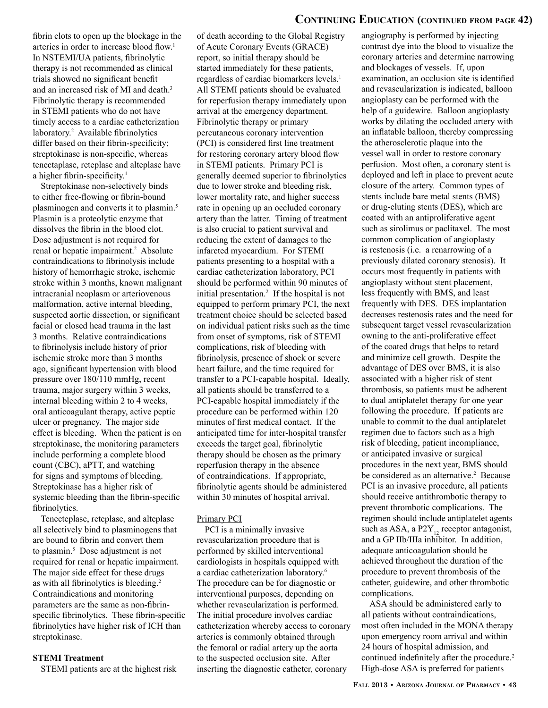## **Continuing Education (continued from page 42)**

fibrin clots to open up the blockage in the arteries in order to increase blood flow.<sup>1</sup> In NSTEMI/UA patients, fibrinolytic therapy is not recommended as clinical trials showed no significant benefit and an increased risk of MI and death.<sup>3</sup> Fibrinolytic therapy is recommended in STEMI patients who do not have timely access to a cardiac catheterization laboratory.2 Available fibrinolytics differ based on their fibrin-specificity; streptokinase is non-specific, whereas tenectaplase, reteplase and alteplase have a higher fibrin-specificity.<sup>1</sup>

Streptokinase non-selectively binds to either free-flowing or fibrin-bound plasminogen and converts it to plasmin.<sup>5</sup> Plasmin is a proteolytic enzyme that dissolves the fibrin in the blood clot. Dose adjustment is not required for renal or hepatic impairment.<sup>2</sup> Absolute contraindications to fibrinolysis include history of hemorrhagic stroke, ischemic stroke within 3 months, known malignant intracranial neoplasm or arteriovenous malformation, active internal bleeding, suspected aortic dissection, or significant facial or closed head trauma in the last 3 months. Relative contraindications to fibrinolysis include history of prior ischemic stroke more than 3 months ago, significant hypertension with blood pressure over 180/110 mmHg, recent trauma, major surgery within 3 weeks, internal bleeding within 2 to 4 weeks, oral anticoagulant therapy, active peptic ulcer or pregnancy. The major side effect is bleeding. When the patient is on streptokinase, the monitoring parameters include performing a complete blood count (CBC), aPTT, and watching for signs and symptoms of bleeding. Streptokinase has a higher risk of systemic bleeding than the fibrin-specific fibrinolytics.

Tenecteplase, reteplase, and alteplase all selectively bind to plasminogens that are bound to fibrin and convert them to plasmin.5 Dose adjustment is not required for renal or hepatic impairment. The major side effect for these drugs as with all fibrinolytics is bleeding.<sup>2</sup> Contraindications and monitoring parameters are the same as non-fibrinspecific fibrinolytics. These fibrin-specific fibrinolytics have higher risk of ICH than streptokinase.

#### **STEMI Treatment**

STEMI patients are at the highest risk

of death according to the Global Registry of Acute Coronary Events (GRACE) report, so initial therapy should be started immediately for these patients, regardless of cardiac biomarkers levels.<sup>1</sup> All STEMI patients should be evaluated for reperfusion therapy immediately upon arrival at the emergency department. Fibrinolytic therapy or primary percutaneous coronary intervention (PCI) is considered first line treatment for restoring coronary artery blood flow in STEMI patients. Primary PCI is generally deemed superior to fibrinolytics due to lower stroke and bleeding risk, lower mortality rate, and higher success rate in opening up an occluded coronary artery than the latter. Timing of treatment is also crucial to patient survival and reducing the extent of damages to the infarcted myocardium. For STEMI patients presenting to a hospital with a cardiac catheterization laboratory, PCI should be performed within 90 minutes of initial presentation.2 If the hospital is not equipped to perform primary PCI, the next treatment choice should be selected based on individual patient risks such as the time from onset of symptoms, risk of STEMI complications, risk of bleeding with fibrinolysis, presence of shock or severe heart failure, and the time required for transfer to a PCI-capable hospital. Ideally, all patients should be transferred to a PCI-capable hospital immediately if the procedure can be performed within 120 minutes of first medical contact. If the anticipated time for inter-hospital transfer exceeds the target goal, fibrinolytic therapy should be chosen as the primary reperfusion therapy in the absence of contraindications. If appropriate, fibrinolytic agents should be administered within 30 minutes of hospital arrival.

#### Primary PCI

PCI is a minimally invasive revascularization procedure that is performed by skilled interventional cardiologists in hospitals equipped with a cardiac catheterization laboratory.<sup>6</sup> The procedure can be for diagnostic or interventional purposes, depending on whether revascularization is performed. The initial procedure involves cardiac catheterization whereby access to coronary arteries is commonly obtained through the femoral or radial artery up the aorta to the suspected occlusion site. After inserting the diagnostic catheter, coronary

angiography is performed by injecting contrast dye into the blood to visualize the coronary arteries and determine narrowing and blockages of vessels. If, upon examination, an occlusion site is identified and revascularization is indicated, balloon angioplasty can be performed with the help of a guidewire. Balloon angioplasty works by dilating the occluded artery with an inflatable balloon, thereby compressing the atherosclerotic plaque into the vessel wall in order to restore coronary perfusion. Most often, a coronary stent is deployed and left in place to prevent acute closure of the artery. Common types of stents include bare metal stents (BMS) or drug-eluting stents (DES), which are coated with an antiproliferative agent such as sirolimus or paclitaxel. The most common complication of angioplasty is restenosis (i.e. a renarrowing of a previously dilated coronary stenosis). It occurs most frequently in patients with angioplasty without stent placement, less frequently with BMS, and least frequently with DES. DES implantation decreases restenosis rates and the need for subsequent target vessel revascularization owning to the anti-proliferative effect of the coated drugs that helps to retard and minimize cell growth. Despite the advantage of DES over BMS, it is also associated with a higher risk of stent thrombosis, so patients must be adherent to dual antiplatelet therapy for one year following the procedure. If patients are unable to commit to the dual antiplatelet regimen due to factors such as a high risk of bleeding, patient incompliance, or anticipated invasive or surgical procedures in the next year, BMS should be considered as an alternative.<sup>2</sup> Because PCI is an invasive procedure, all patients should receive antithrombotic therapy to prevent thrombotic complications. The regimen should include antiplatelet agents such as ASA, a  $P2Y_{12}$  receptor antagonist, and a GP IIb/IIIa inhibitor. In addition, adequate anticoagulation should be achieved throughout the duration of the procedure to prevent thrombosis of the catheter, guidewire, and other thrombotic complications.

ASA should be administered early to all patients without contraindications, most often included in the MONA therapy upon emergency room arrival and within 24 hours of hospital admission, and continued indefinitely after the procedure.<sup>2</sup> High-dose ASA is preferred for patients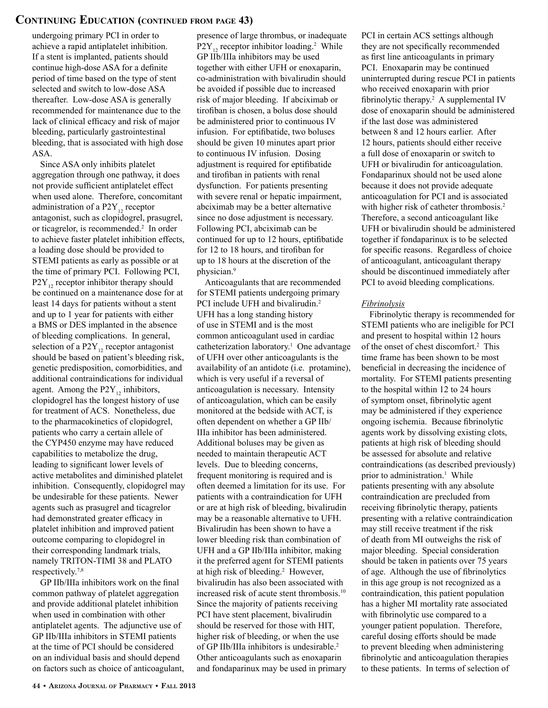## **Continuing Education (continued from page 43)**

undergoing primary PCI in order to achieve a rapid antiplatelet inhibition. If a stent is implanted, patients should continue high-dose ASA for a definite period of time based on the type of stent selected and switch to low-dose ASA thereafter. Low-dose ASA is generally recommended for maintenance due to the lack of clinical efficacy and risk of major bleeding, particularly gastrointestinal bleeding, that is associated with high dose ASA.

Since ASA only inhibits platelet aggregation through one pathway, it does not provide sufficient antiplatelet effect when used alone. Therefore, concomitant administration of a  $P2Y_{12}$  receptor antagonist, such as clopidogrel, prasugrel, or ticagrelor, is recommended.2 In order to achieve faster platelet inhibition effects, a loading dose should be provided to STEMI patients as early as possible or at the time of primary PCI. Following PCI,  $P2Y_{12}$  receptor inhibitor therapy should be continued on a maintenance dose for at least 14 days for patients without a stent and up to 1 year for patients with either a BMS or DES implanted in the absence of bleeding complications. In general, selection of a  $P2Y_{12}$  receptor antagonist should be based on patient's bleeding risk, genetic predisposition, comorbidities, and additional contraindications for individual agent. Among the  $P2Y_{12}$  inhibitors, clopidogrel has the longest history of use for treatment of ACS. Nonetheless, due to the pharmacokinetics of clopidogrel, patients who carry a certain allele of the CYP450 enzyme may have reduced capabilities to metabolize the drug, leading to significant lower levels of active metabolites and diminished platelet inhibition. Consequently, clopidogrel may be undesirable for these patients. Newer agents such as prasugrel and ticagrelor had demonstrated greater efficacy in platelet inhibition and improved patient outcome comparing to clopidogrel in their corresponding landmark trials, namely TRITON-TIMI 38 and PLATO respectively.7,8

GP IIb/IIIa inhibitors work on the final common pathway of platelet aggregation and provide additional platelet inhibition when used in combination with other antiplatelet agents. The adjunctive use of GP IIb/IIIa inhibitors in STEMI patients at the time of PCI should be considered on an individual basis and should depend on factors such as choice of anticoagulant, presence of large thrombus, or inadequate  $P2Y_{12}$  receptor inhibitor loading.<sup>2</sup> While GP IIb/IIIa inhibitors may be used together with either UFH or enoxaparin, co-administration with bivalirudin should be avoided if possible due to increased risk of major bleeding. If abciximab or tirofiban is chosen, a bolus dose should be administered prior to continuous IV infusion. For eptifibatide, two boluses should be given 10 minutes apart prior to continuous IV infusion. Dosing adjustment is required for eptifibatide and tirofiban in patients with renal dysfunction. For patients presenting with severe renal or hepatic impairment, abciximab may be a better alternative since no dose adjustment is necessary. Following PCI, abciximab can be continued for up to 12 hours, eptifibatide for 12 to 18 hours, and tirofiban for up to 18 hours at the discretion of the physician.9

Anticoagulants that are recommended for STEMI patients undergoing primary PCI include UFH and bivalirudin.<sup>2</sup> UFH has a long standing history of use in STEMI and is the most common anticoagulant used in cardiac catheterization laboratory.1 One advantage of UFH over other anticoagulants is the availability of an antidote (i.e. protamine), which is very useful if a reversal of anticoagulation is necessary. Intensity of anticoagulation, which can be easily monitored at the bedside with ACT, is often dependent on whether a GP IIb/ IIIa inhibitor has been administered. Additional boluses may be given as needed to maintain therapeutic ACT levels. Due to bleeding concerns, frequent monitoring is required and is often deemed a limitation for its use. For patients with a contraindication for UFH or are at high risk of bleeding, bivalirudin may be a reasonable alternative to UFH. Bivalirudin has been shown to have a lower bleeding risk than combination of UFH and a GP IIb/IIIa inhibitor, making it the preferred agent for STEMI patients at high risk of bleeding.2 However, bivalirudin has also been associated with increased risk of acute stent thrombosis.10 Since the majority of patients receiving PCI have stent placement, bivalirudin should be reserved for those with HIT, higher risk of bleeding, or when the use of GP IIb/IIIa inhibitors is undesirable.2 Other anticoagulants such as enoxaparin and fondaparinux may be used in primary

PCI in certain ACS settings although they are not specifically recommended as first line anticoagulants in primary PCI. Enoxaparin may be continued uninterrupted during rescue PCI in patients who received enoxaparin with prior fibrinolytic therapy.<sup>2</sup> A supplemental IV dose of enoxaparin should be administered if the last dose was administered between 8 and 12 hours earlier. After 12 hours, patients should either receive a full dose of enoxaparin or switch to UFH or bivalirudin for anticoagulation. Fondaparinux should not be used alone because it does not provide adequate anticoagulation for PCI and is associated with higher risk of catheter thrombosis.<sup>2</sup> Therefore, a second anticoagulant like UFH or bivalirudin should be administered together if fondaparinux is to be selected for specific reasons. Regardless of choice of anticoagulant, anticoagulant therapy should be discontinued immediately after PCI to avoid bleeding complications.

#### *Fibrinolysis*

Fibrinolytic therapy is recommended for STEMI patients who are ineligible for PCI and present to hospital within 12 hours of the onset of chest discomfort.2 This time frame has been shown to be most beneficial in decreasing the incidence of mortality. For STEMI patients presenting to the hospital within 12 to 24 hours of symptom onset, fibrinolytic agent may be administered if they experience ongoing ischemia. Because fibrinolytic agents work by dissolving existing clots, patients at high risk of bleeding should be assessed for absolute and relative contraindications (as described previously) prior to administration.<sup>1</sup> While patients presenting with any absolute contraindication are precluded from receiving fibrinolytic therapy, patients presenting with a relative contraindication may still receive treatment if the risk of death from MI outweighs the risk of major bleeding. Special consideration should be taken in patients over 75 years of age. Although the use of fibrinolytics in this age group is not recognized as a contraindication, this patient population has a higher MI mortality rate associated with fibrinolytic use compared to a younger patient population. Therefore, careful dosing efforts should be made to prevent bleeding when administering fibrinolytic and anticoagulation therapies to these patients. In terms of selection of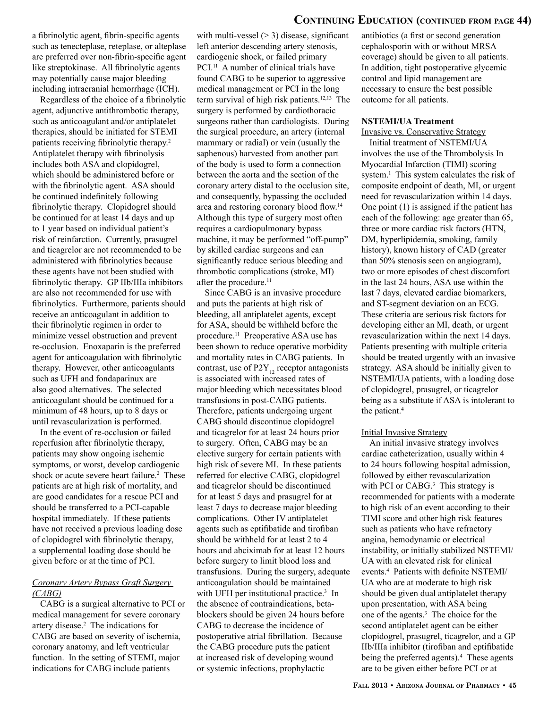a fibrinolytic agent, fibrin-specific agents such as tenecteplase, reteplase, or alteplase are preferred over non-fibrin-specific agent like streptokinase. All fibrinolytic agents may potentially cause major bleeding including intracranial hemorrhage (ICH).

Regardless of the choice of a fibrinolytic agent, adjunctive antithrombotic therapy, such as anticoagulant and/or antiplatelet therapies, should be initiated for STEMI patients receiving fibrinolytic therapy.<sup>2</sup> Antiplatelet therapy with fibrinolysis includes both ASA and clopidogrel, which should be administered before or with the fibrinolytic agent. ASA should be continued indefinitely following fibrinolytic therapy. Clopidogrel should be continued for at least 14 days and up to 1 year based on individual patient's risk of reinfarction. Currently, prasugrel and ticagrelor are not recommended to be administered with fibrinolytics because these agents have not been studied with fibrinolytic therapy. GP IIb/IIIa inhibitors are also not recommended for use with fibrinolytics. Furthermore, patients should receive an anticoagulant in addition to their fibrinolytic regimen in order to minimize vessel obstruction and prevent re-occlusion. Enoxaparin is the preferred agent for anticoagulation with fibrinolytic therapy. However, other anticoagulants such as UFH and fondaparinux are also good alternatives. The selected anticoagulant should be continued for a minimum of 48 hours, up to 8 days or until revascularization is performed.

In the event of re-occlusion or failed reperfusion after fibrinolytic therapy, patients may show ongoing ischemic symptoms, or worst, develop cardiogenic shock or acute severe heart failure.<sup>2</sup> These patients are at high risk of mortality, and are good candidates for a rescue PCI and should be transferred to a PCI-capable hospital immediately. If these patients have not received a previous loading dose of clopidogrel with fibrinolytic therapy, a supplemental loading dose should be given before or at the time of PCI.

#### *Coronary Artery Bypass Graft Surgery (CABG)*

CABG is a surgical alternative to PCI or medical management for severe coronary artery disease.2 The indications for CABG are based on severity of ischemia, coronary anatomy, and left ventricular function. In the setting of STEMI, major indications for CABG include patients

with multi-vessel  $(> 3)$  disease, significant left anterior descending artery stenosis, cardiogenic shock, or failed primary PCI.<sup>11</sup> A number of clinical trials have found CABG to be superior to aggressive medical management or PCI in the long term survival of high risk patients.12,13 The surgery is performed by cardiothoracic surgeons rather than cardiologists. During the surgical procedure, an artery (internal mammary or radial) or vein (usually the saphenous) harvested from another part of the body is used to form a connection between the aorta and the section of the coronary artery distal to the occlusion site, and consequently, bypassing the occluded area and restoring coronary blood flow.14 Although this type of surgery most often requires a cardiopulmonary bypass machine, it may be performed "off-pump" by skilled cardiac surgeons and can significantly reduce serious bleeding and thrombotic complications (stroke, MI) after the procedure.<sup>11</sup>

Since CABG is an invasive procedure and puts the patients at high risk of bleeding, all antiplatelet agents, except for ASA, should be withheld before the procedure.11 Preoperative ASA use has been shown to reduce operative morbidity and mortality rates in CABG patients. In contrast, use of  $P2Y_{12}$  receptor antagonists is associated with increased rates of major bleeding which necessitates blood transfusions in post-CABG patients. Therefore, patients undergoing urgent CABG should discontinue clopidogrel and ticagrelor for at least 24 hours prior to surgery. Often, CABG may be an elective surgery for certain patients with high risk of severe MI. In these patients referred for elective CABG, clopidogrel and ticagrelor should be discontinued for at least 5 days and prasugrel for at least 7 days to decrease major bleeding complications. Other IV antiplatelet agents such as eptifibatide and tirofiban should be withheld for at least 2 to 4 hours and abciximab for at least 12 hours before surgery to limit blood loss and transfusions. During the surgery, adequate anticoagulation should be maintained with UFH per institutional practice.<sup>3</sup> In the absence of contraindications, betablockers should be given 24 hours before CABG to decrease the incidence of postoperative atrial fibrillation. Because the CABG procedure puts the patient at increased risk of developing wound or systemic infections, prophylactic

## **Continuing Education (continued from page 44)**

antibiotics (a first or second generation cephalosporin with or without MRSA coverage) should be given to all patients. In addition, tight postoperative glycemic control and lipid management are necessary to ensure the best possible outcome for all patients.

#### **NSTEMI/UA Treatment**

#### Invasive vs. Conservative Strategy

Initial treatment of NSTEMI/UA involves the use of the Thrombolysis In Myocardial Infarction (TIMI) scoring system.1 This system calculates the risk of composite endpoint of death, MI, or urgent need for revascularization within 14 days. One point (1) is assigned if the patient has each of the following: age greater than 65, three or more cardiac risk factors (HTN, DM, hyperlipidemia, smoking, family history), known history of CAD (greater than 50% stenosis seen on angiogram), two or more episodes of chest discomfort in the last 24 hours, ASA use within the last 7 days, elevated cardiac biomarkers, and ST-segment deviation on an ECG. These criteria are serious risk factors for developing either an MI, death, or urgent revascularization within the next 14 days. Patients presenting with multiple criteria should be treated urgently with an invasive strategy. ASA should be initially given to NSTEMI/UA patients, with a loading dose of clopidogrel, prasugrel, or ticagrelor being as a substitute if ASA is intolerant to the patient.<sup>4</sup>

#### Initial Invasive Strategy

An initial invasive strategy involves cardiac catheterization, usually within 4 to 24 hours following hospital admission, followed by either revascularization with PCI or CABG.<sup>3</sup> This strategy is recommended for patients with a moderate to high risk of an event according to their TIMI score and other high risk features such as patients who have refractory angina, hemodynamic or electrical instability, or initially stabilized NSTEMI/ UA with an elevated risk for clinical events.4 Patients with definite NSTEMI/ UA who are at moderate to high risk should be given dual antiplatelet therapy upon presentation, with ASA being one of the agents.3 The choice for the second antiplatelet agent can be either clopidogrel, prasugrel, ticagrelor, and a GP IIb/IIIa inhibitor (tirofiban and eptifibatide being the preferred agents).<sup>4</sup> These agents are to be given either before PCI or at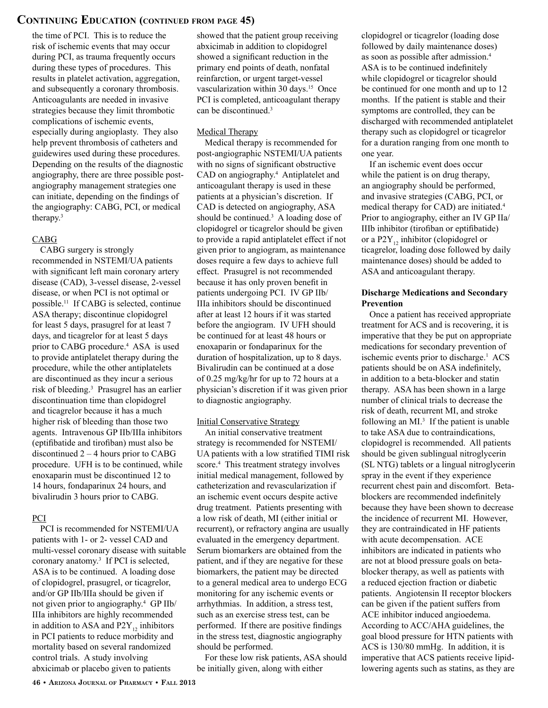## **Continuing Education (continued from page 45)**

the time of PCI. This is to reduce the risk of ischemic events that may occur during PCI, as trauma frequently occurs during these types of procedures. This results in platelet activation, aggregation, and subsequently a coronary thrombosis. Anticoagulants are needed in invasive strategies because they limit thrombotic complications of ischemic events, especially during angioplasty. They also help prevent thrombosis of catheters and guidewires used during these procedures. Depending on the results of the diagnostic angiography, there are three possible postangiography management strategies one can initiate, depending on the findings of the angiography: CABG, PCI, or medical therapy.3

#### CABG

CABG surgery is strongly recommended in NSTEMI/UA patients with significant left main coronary artery disease (CAD), 3-vessel disease, 2-vessel disease, or when PCI is not optimal or possible.11 If CABG is selected, continue ASA therapy; discontinue clopidogrel for least 5 days, prasugrel for at least 7 days, and ticagrelor for at least 5 days prior to CABG procedure.<sup>4</sup> ASA is used to provide antiplatelet therapy during the procedure, while the other antiplatelets are discontinued as they incur a serious risk of bleeding.3 Prasugrel has an earlier discontinuation time than clopidogrel and ticagrelor because it has a much higher risk of bleeding than those two agents. Intravenous GP IIb/IIIa inhibitors (eptifibatide and tirofiban) must also be discontinued 2 – 4 hours prior to CABG procedure. UFH is to be continued, while enoxaparin must be discontinued 12 to 14 hours, fondaparinux 24 hours, and bivalirudin 3 hours prior to CABG.

#### PCI

PCI is recommended for NSTEMI/UA patients with 1- or 2- vessel CAD and multi-vessel coronary disease with suitable coronary anatomy.3 If PCI is selected, ASA is to be continued. A loading dose of clopidogrel, prasugrel, or ticagrelor, and/or GP IIb/IIIa should be given if not given prior to angiography.4 GP IIb/ IIIa inhibitors are highly recommended in addition to ASA and  $P2Y_{12}$  inhibitors in PCI patients to reduce morbidity and mortality based on several randomized control trials. A study involving abxicimab or placebo given to patients

showed that the patient group receiving abxicimab in addition to clopidogrel showed a significant reduction in the primary end points of death, nonfatal reinfarction, or urgent target-vessel vascularization within 30 days.<sup>15</sup> Once PCI is completed, anticoagulant therapy can be discontinued.3

#### Medical Therapy

Medical therapy is recommended for post-angiographic NSTEMI/UA patients with no signs of significant obstructive CAD on angiography.<sup>4</sup> Antiplatelet and anticoagulant therapy is used in these patients at a physician's discretion. If CAD is detected on angiography, ASA should be continued.<sup>3</sup> A loading dose of clopidogrel or ticagrelor should be given to provide a rapid antiplatelet effect if not given prior to angiogram, as maintenance doses require a few days to achieve full effect. Prasugrel is not recommended because it has only proven benefit in patients undergoing PCI. IV GP IIb/ IIIa inhibitors should be discontinued after at least 12 hours if it was started before the angiogram. IV UFH should be continued for at least 48 hours or enoxaparin or fondaparinux for the duration of hospitalization, up to 8 days. Bivalirudin can be continued at a dose of 0.25 mg/kg/hr for up to 72 hours at a physician's discretion if it was given prior to diagnostic angiography.

#### Initial Conservative Strategy

An initial conservative treatment strategy is recommended for NSTEMI/ UA patients with a low stratified TIMI risk score.4 This treatment strategy involves initial medical management, followed by catheterization and revascularization if an ischemic event occurs despite active drug treatment. Patients presenting with a low risk of death, MI (either initial or recurrent), or refractory angina are usually evaluated in the emergency department. Serum biomarkers are obtained from the patient, and if they are negative for these biomarkers, the patient may be directed to a general medical area to undergo ECG monitoring for any ischemic events or arrhythmias. In addition, a stress test, such as an exercise stress test, can be performed. If there are positive findings in the stress test, diagnostic angiography should be performed.

For these low risk patients, ASA should be initially given, along with either

clopidogrel or ticagrelor (loading dose followed by daily maintenance doses) as soon as possible after admission.4 ASA is to be continued indefinitely while clopidogrel or ticagrelor should be continued for one month and up to 12 months. If the patient is stable and their symptoms are controlled, they can be discharged with recommended antiplatelet therapy such as clopidogrel or ticagrelor for a duration ranging from one month to one year.

If an ischemic event does occur while the patient is on drug therapy, an angiography should be performed, and invasive strategies (CABG, PCI, or medical therapy for CAD) are initiated.4 Prior to angiography, either an IV GP IIa/ IIIb inhibitor (tirofiban or eptifibatide) or a P2Y<sub>12</sub> inhibitor (clopidogrel or ticagrelor, loading dose followed by daily maintenance doses) should be added to ASA and anticoagulant therapy.

#### **Discharge Medications and Secondary Prevention**

Once a patient has received appropriate treatment for ACS and is recovering, it is imperative that they be put on appropriate medications for secondary prevention of ischemic events prior to discharge.<sup>1</sup> ACS patients should be on ASA indefinitely, in addition to a beta-blocker and statin therapy. ASA has been shown in a large number of clinical trials to decrease the risk of death, recurrent MI, and stroke following an  $MI^3$  If the patient is unable to take ASA due to contraindications, clopidogrel is recommended. All patients should be given sublingual nitroglycerin (SL NTG) tablets or a lingual nitroglycerin spray in the event if they experience recurrent chest pain and discomfort. Betablockers are recommended indefinitely because they have been shown to decrease the incidence of recurrent MI. However, they are contraindicated in HF patients with acute decompensation. ACE inhibitors are indicated in patients who are not at blood pressure goals on betablocker therapy, as well as patients with a reduced ejection fraction or diabetic patients. Angiotensin II receptor blockers can be given if the patient suffers from ACE inhibitor induced angioedema. According to ACC/AHA guidelines, the goal blood pressure for HTN patients with ACS is 130/80 mmHg. In addition, it is imperative that ACS patients receive lipidlowering agents such as statins, as they are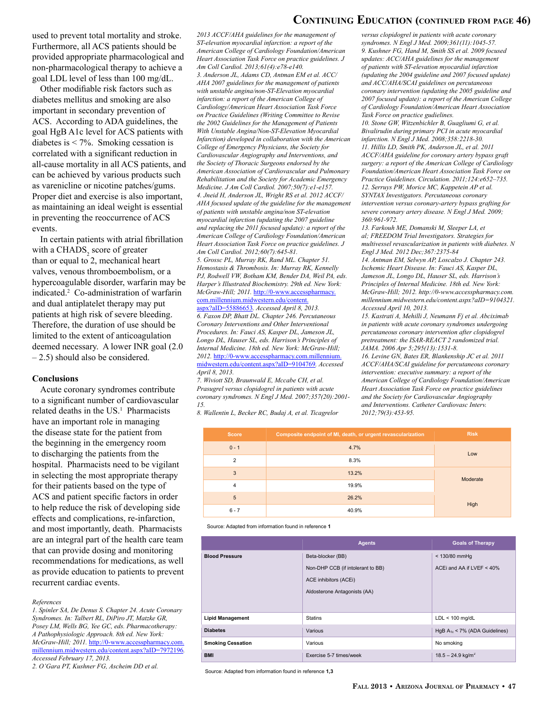#### **Continuing Education (continued from page 46)**

used to prevent total mortality and stroke. Furthermore, all ACS patients should be provided appropriate pharmacological and non-pharmacological therapy to achieve a goal LDL level of less than 100 mg/dL.

Other modifiable risk factors such as diabetes mellitus and smoking are also important in secondary prevention of ACS. According to ADA guidelines, the goal HgB A1c level for ACS patients with diabetes is < 7%. Smoking cessation is correlated with a significant reduction in all-cause mortality in all ACS patients, and can be achieved by various products such as varenicline or nicotine patches/gums. Proper diet and exercise is also important, as maintaining an ideal weight is essential in preventing the reoccurrence of ACS events.

In certain patients with atrial fibrillation with a  $\text{CHADS}_2$  score of greater than or equal to 2, mechanical heart valves, venous thromboembolism, or a hypercoagulable disorder, warfarin may be indicated.2 Co-administration of warfarin and dual antiplatelet therapy may put patients at high risk of severe bleeding. Therefore, the duration of use should be limited to the extent of anticoagulation deemed necessary. A lower INR goal (2.0 – 2.5) should also be considered.

#### **Conclusions**

Acute coronary syndromes contribute to a significant number of cardiovascular related deaths in the US.<sup>1</sup> Pharmacists have an important role in managing the disease state for the patient from the beginning in the emergency room to discharging the patients from the hospital. Pharmacists need to be vigilant in selecting the most appropriate therapy for their patients based on the type of ACS and patient specific factors in order to help reduce the risk of developing side effects and complications, re-infarction, and most importantly, death. Pharmacists are an integral part of the health care team that can provide dosing and monitoring recommendations for medications, as well as provide education to patients to prevent recurrent cardiac events.

#### *References*

*1. Spinler SA, De Denus S. Chapter 24. Acute Coronary Syndromes. In: Talbert RL, DiPiro JT, Matzke GR, Posey LM, Wells BG, Yee GC, eds. Pharmacotherapy: A Pathophysiologic Approach. 8th ed. New York: McGraw-Hill; 2011.* [http://0-www.accesspharmacy.com.](http://0-www.accesspharmacy.com.millennium.midwestern.edu/content.aspx%3FaID%3D7972196) [millennium.midwestern.edu/content.aspx?aID=7972196](http://0-www.accesspharmacy.com.millennium.midwestern.edu/content.aspx%3FaID%3D7972196)*. Accessed February 17, 2013.*

*2. O'Gara PT, Kushner FG, Ascheim DD et al.* 

*2013 ACCF/AHA guidelines for the management of ST-elevation myocardial infarction: a report of the American College of Cardiology Foundation/American Heart Association Task Force on practice guidelines. J Am Coll Cardiol. 2013;61(4):e78-e140. 3. Anderson JL, Adams CD, Antman EM et al. ACC/ AHA 2007 guidelines for the management of patients with unstable angina/non-ST-Elevation myocardial infarction: a report of the American College of Cardiology/American Heart Association Task Force on Practice Guidelines (Writing Committee to Revise the 2002 Guidelines for the Management of Patients With Unstable Angina/Non-ST-Elevation Myocardial Infarction) developed in collaboration with the American College of Emergency Physicians, the Society for Cardiovascular Angiography and Interventions, and the Society of Thoracic Surgeons endorsed by the American Association of Cardiovascular and Pulmonary Rehabilitation and the Society for Academic Emergency Medicine. J Am Coll Cardiol. 2007;50(7):e1-e157. 4. Jneid H, Anderson JL, Wright RS et al. 2012 ACCF/ AHA focused update of the guideline for the management of patients with unstable angina/non ST-elevation myocardial infarction (updating the 2007 guideline and replacing the 2011 focused update): a report of the American College of Cardiology Foundation/American Heart Association Task Force on practice guidelines. J Am Coll Cardiol. 2012;60(7):645-81. 5. Grossc PL, Murray RK, Rand ML. Chapter 51. Hemostasis & Thrombosis. In: Murray RK, Kennelly PJ, Rodwell VW, Botham KM, Bender DA, Weil PA, eds. Harper's Illustrated Biochemistry. 29th ed. New York: McGraw-Hill; 2011.* [http://0-www.accesspharmacy.](http://0-www.accesspharmacy.com.millennium.midwestern.edu/content.aspx%3FaID%3D55886653) [com.millennium.midwestern.edu/content.](http://0-www.accesspharmacy.com.millennium.midwestern.edu/content.aspx%3FaID%3D55886653) [aspx?aID=55886653](http://0-www.accesspharmacy.com.millennium.midwestern.edu/content.aspx%3FaID%3D55886653)*. Accessed April 8, 2013. 6. Faxon DP, Bhatt DL. Chapter 246. Percutaneous Coronary Interventions and Other Interventional Procedures. In: Fauci AS, Kasper DL, Jameson JL, Longo DL, Hauser SL, eds. Harrison's Principles of Internal Medicine. 18th ed. New York: McGraw-Hill;* 

*2012.* [http://0-www.accesspharmacy.com.millennium.](http://0-www.accesspharmacy.com.millennium.midwestern.edu/content.aspx%3FaID%3D9104769) [midwestern.edu/content.aspx?aID=9104769](http://0-www.accesspharmacy.com.millennium.midwestern.edu/content.aspx%3FaID%3D9104769)*. Accessed April 8, 2013. 7. Wiviott SD, Braunwald E, Mccabe CH, et al.* 

*Prasugrel versus clopidogrel in patients with acute*   $\alpha$  coronary syndromes. N Engl J Med. 2007;357(20):2001- and the Society for Cardiovascular Angiog *15.*

8. Wallentin L, Becker RC, Budaj A, et al. Ticagrelor

| versus clopidogrel in patients with acute coronary     |
|--------------------------------------------------------|
| syndromes. N Engl J Med. 2009;361(11):1045-57.         |
| 9. Kushner FG, Hand M, Smith SS et al. 2009 focused    |
| updates: ACC/AHA guidelines for the management         |
| of patients with ST-elevation myocardial infarction    |
| (updating the 2004 guideline and 2007 focused update)  |
| and ACC/AHA/SCAI guidelines on percutaneous            |
| coronary intervention (updating the 2005 guideline and |
| 2007 focused update): a report of the American College |
| of Cardiology Foundation/American Heart Association    |
| Task Force on practice gudielines.                     |

*10. Stone GW, Witzenbichler B, Guagliumi G, et al. Bivalirudin during primary PCI in acute myocardial infarction. N Engl J Med. 2008;358:2218-30. 11. Hillis LD, Smith PK, Anderson JL, et al. 2011 ACCF/AHA guideline for coronary artery bypass graft surgery: a report of the American College of Cardiology Foundation/American Heart Association Task Force on Practice Guidelines. Circulation. 2011;124:e652–735. 12. Serruys PW, Morice MC, Kappetein AP et al. SYNTAX Investigators. Percutaneous coronary intervention versus coronary-artery bypass grafting for severe coronary artery disease. N Engl J Med. 2009; 360:961-972.*

*13. Farkouh ME, Domanski M, Sleeper LA, et al; FREEDOM Trial Investigators. Strategies for multivessel revascularization in patients with diabetes. N Engl J Med. 2012 Dec;367:2375-84*

*14. Antman EM, Selwyn AP, Loscalzo J. Chapter 243. Ischemic Heart Disease. In: Fauci AS, Kasper DL, Jameson JL, Longo DL, Hauser SL, eds. Harrison's Principles of Internal Medicine. 18th ed. New York: McGraw-Hill; 2012. http://0-www.accesspharmacy.com. millennium.midwestern.edu/content.aspx?aID=9104321. Accessed April 10, 2013.*

*15. Kastrati A, Mehilli J, Neumann Fj et al. Abciximab in patients with acute coronary syndromes undergoing percutaneous coronary intervention after clopidogrel pretreatment: the ISAR-REACT 2 randomized trial. JAMA. 2006 Apr 5;295(13):1531-8.*

*16. Levine GN, Bates ER, Blankenship JC et al. 2011 ACCF/AHA/SCAI guideline for percutaneous coronary intervention: executive summary: a report of the American College of Cardiology Foundation/American Heart Association Task Force on practice guidelines and the Society for Cardiovascular Angiography and Interventions. Catheter Cardiovasc Interv. 2012;79(3):453-95.* 

| <b>Score</b>  | Composite endpoint of MI, death, or urgent revascularization | <b>Risk</b> |
|---------------|--------------------------------------------------------------|-------------|
| $0 - 1$       | 4.7%                                                         | Low         |
| $\mathcal{P}$ | 8.3%                                                         |             |
| 3             | 13.2%                                                        | Moderate    |
| 4             | 19.9%                                                        |             |
| 5             | 26.2%                                                        | High        |
| $6 - 7$       | 40.9%                                                        |             |

Source: Adapted from information found in reference **1**

|                          | <b>Agents</b>                     | <b>Goals of Therapy</b>            |
|--------------------------|-----------------------------------|------------------------------------|
| <b>Blood Pressure</b>    | Beta-blocker (BB)                 | < 130/80 mmHg                      |
|                          | Non-DHP CCB (if intolerant to BB) | ACE iand AA if LVEF < 40%          |
|                          | ACE inhibitors (ACEi)             |                                    |
|                          | Aldosterone Antagonists (AA)      |                                    |
|                          |                                   |                                    |
| <b>Lipid Management</b>  | <b>Statins</b>                    | $LDL < 100$ mg/dL                  |
| <b>Diabetes</b>          | Various                           | HgB $A_{1c}$ < 7% (ADA Guidelines) |
| <b>Smoking Cessation</b> | Various                           | No smoking                         |
| <b>BMI</b>               | Exercise 5-7 times/week           | $18.5 - 24.9$ kg/m <sup>2</sup>    |

Source: Adapted from information found in reference **1,3**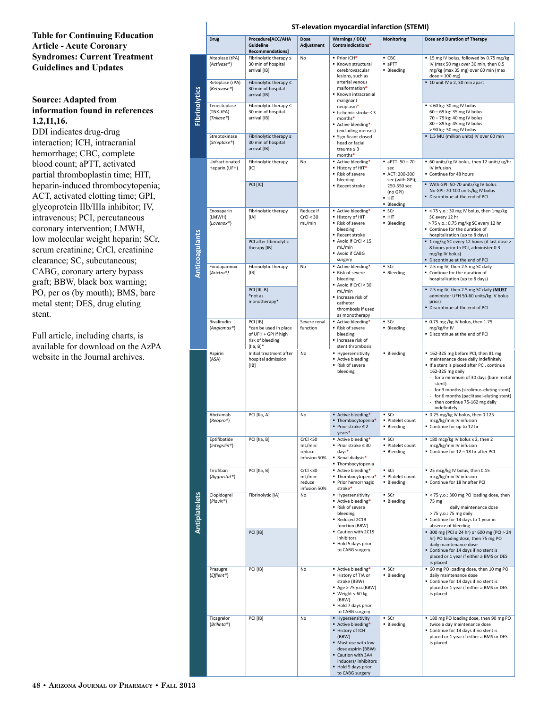### **Table for Continuing Education Article - Acute Coronary Syndromes: Current Treatment Guidelines and Updates**

## **Source: Adapted from information found in references 1,2,11,16.**

DDI indicates drug-drug interaction; ICH, intracranial hemorrhage; CBC, complete blood count; aPTT, activated partial thromboplastin time; HIT, heparin-induced thrombocytopenia; ACT, activated clotting time; GPI, glycoprotein IIb/IIIa inhibitor; IV, intravenous; PCI, percutaneous coronary intervention; LMWH, low molecular weight heparin; SCr, serum creatinine; CrCl, creatinine clearance; SC, subcutaneous; CABG, coronary artery bypass graft; BBW, black box warning; PO, per os (by mouth); BMS, bare metal stent; DES, drug eluting stent.

Full article, including charts, is available for download on the AzPA website in the Journal archives.

|                       | ST-elevation myocardial infarction (STEMI)                                                                   |                                                                                               |                                                                                     |                                                                                                                                                                                                          |                                                                                                                                                                        |                                                                                                                                                                                                                                                                                                                                    |
|-----------------------|--------------------------------------------------------------------------------------------------------------|-----------------------------------------------------------------------------------------------|-------------------------------------------------------------------------------------|----------------------------------------------------------------------------------------------------------------------------------------------------------------------------------------------------------|------------------------------------------------------------------------------------------------------------------------------------------------------------------------|------------------------------------------------------------------------------------------------------------------------------------------------------------------------------------------------------------------------------------------------------------------------------------------------------------------------------------|
|                       | <b>Drug</b>                                                                                                  | Procedure[ACC/AHA<br>Guideline<br>Recommendations]                                            | <b>Dose</b><br>Adjustment                                                           | Warnings / DDI/<br>Contraindications*                                                                                                                                                                    | <b>Monitoring</b>                                                                                                                                                      | Dose and Duration of Therapy                                                                                                                                                                                                                                                                                                       |
| Fibrinolytics         | Alteplase (tPA)<br>{Activase®}                                                                               | Fibrinolytic therapy ≤<br>30 min of hospital<br>arrival [IB]                                  | No                                                                                  | • Prior ICH*<br>Known structural<br>cerebrovascular<br>lesions, such as                                                                                                                                  | $-$ CBC<br>$-$ a $PTT$<br><b>Bleeding</b>                                                                                                                              | ■ 15 mg IV bolus, followed by 0.75 mg/kg<br>IV (max 50 mg) over 30 min, then 0.5<br>mg/kg (max 35 mg) over 60 min (max<br>$dose = 100$ mg)                                                                                                                                                                                         |
|                       | Reteplase (rPA)<br>{Retavase®}                                                                               | Fibrinolytic therapy $\leq$<br>30 min of hospital<br>arrival [IB]                             |                                                                                     | arterial venous<br>malformation*<br>Known intracranial<br>malignant                                                                                                                                      |                                                                                                                                                                        | ■ 10 unit IV x 2, 30 min apart                                                                                                                                                                                                                                                                                                     |
|                       | Tenecteplase<br>(TNK-tPA)<br>$\{Thkase^{\circledast}\}$                                                      | Fibrinolytic therapy ≤<br>30 min of hospital<br>arrival [IB]                                  |                                                                                     | neoplasm*<br>$\blacksquare$ Ischemic stroke $\leq 3$<br>months*<br>Active bleeding*<br>(excluding menses)                                                                                                |                                                                                                                                                                        | $\leq 60$ kg: 30 mg IV bolus<br>60 - 69 kg: 35 mg IV bolus<br>70 - 79 kg: 40 mg IV bolus<br>80 - 89 kg: 45 mg IV bolus<br>> 90 kg: 50 mg IV bolus                                                                                                                                                                                  |
|                       | Streptokinase<br>{Streptase®}                                                                                | Fibrinolytic therapy $\leq$<br>30 min of hospital<br>arrival [IB]                             |                                                                                     | Significant closed<br>head or facial<br>trauma $\leq 3$<br>months*                                                                                                                                       |                                                                                                                                                                        | ■ 1.5 MU (million units) IV over 60 min                                                                                                                                                                                                                                                                                            |
|                       | Unfractionated<br>Heparin (UFH)                                                                              | Fibrinolytic therapy<br>[IC]                                                                  | No                                                                                  | Active bleeding*<br>■ History of HIT*<br>Risk of severe<br>bleeding                                                                                                                                      | $\blacksquare$ aPTT: 50 - 70<br>sec<br>ACT: 200-300<br>sec (with GPI);                                                                                                 | 60 units/kg IV bolus, then 12 units/kg/hr<br>IV infusion<br>Continue for 48 hours                                                                                                                                                                                                                                                  |
| <b>Anticoagulants</b> |                                                                                                              | PCI [IC]                                                                                      |                                                                                     | Recent stroke                                                                                                                                                                                            | 250-350 sec<br>(no GPI)<br>$-$ HIT<br><b>Bleeding</b>                                                                                                                  | " With GPI: 50-70 units/kg IV bolus<br>No GPI: 70-100 units/kg IV bolus<br>• Discontinue at the end of PCI                                                                                                                                                                                                                         |
|                       | Enoxaparin<br>Fibrinolytic therapy<br>(LMWH)<br>[IA]<br>{Lovenox®}<br>PCI after fibrinolytic<br>therapy [IB] | Reduce if<br>CrCl < 30<br>mL/min                                                              | Active bleeding*<br>- History of HIT<br>Risk of severe<br>bleeding<br>Recent stroke | · SCr<br>$-$ HIT<br><b>Bleeding</b>                                                                                                                                                                      | ■ < 75 y.o.: 30 mg IV bolus, then 1mg/kg<br>SC every 12 hr<br>> 75 y.o.: 0.75 mg/kg SC every 12 hr<br>" Continue for the duration of<br>hospitalization (up to 8 days) |                                                                                                                                                                                                                                                                                                                                    |
|                       |                                                                                                              |                                                                                               |                                                                                     | Avoid if CrCl < 15<br>mL/min<br>Avoid if CABG<br>surgery                                                                                                                                                 |                                                                                                                                                                        | ■ 1 mg/kg SC every 12 hours (if last dose ><br>8 hours prior to PCI, administer 0.3<br>mg/kg IV bolus)<br>Discontinue at the end of PCI                                                                                                                                                                                            |
|                       | Fondaparinux<br>{Arixtra®}                                                                                   | Fibrinolytic therapy<br>[IB]                                                                  | No                                                                                  | Active bleeding*<br>Risk of severe<br>bleeding<br>Avoid if CrCl < 30<br>mL/min<br>Increase risk of<br>catheter<br>thrombosis if used<br>as monotherapy                                                   | · SCr<br>• Bleeding                                                                                                                                                    | 2.5 mg IV, then 2.5 mg SC daily<br>Continue for the duration of<br>hospitalization (up to 8 days)                                                                                                                                                                                                                                  |
|                       |                                                                                                              | <b>PCI</b> [III, B]<br>*not as<br>monotherapy*                                                |                                                                                     |                                                                                                                                                                                                          |                                                                                                                                                                        | " 2.5 mg IV, then 2.5 mg SC daily (MUST<br>administer UFH 50-60 units/kg IV bolus<br>prior)<br>Discontinue at the end of PCI                                                                                                                                                                                                       |
|                       | Bivalirudin<br>{Angiomax®}                                                                                   | PCI [IB]<br>*can be used in place<br>of UFH + GPI if high<br>risk of bleeding<br>$[IIa, B]^*$ | Severe renal<br>function                                                            | Active bleeding*<br>Risk of severe<br>bleeding<br>Increase risk of<br>stent thrombosis                                                                                                                   | Scr<br><b>Bleeding</b>                                                                                                                                                 | ■ 0.75 mg /kg IV bolus, then 1.75<br>mg/kg/hr IV<br>" Discontinue at the end of PCI                                                                                                                                                                                                                                                |
|                       | Aspirin<br>(ASA)                                                                                             | Initial treatment after<br>hospital admission<br>[IB]                                         | No                                                                                  | · Hypersensitivity<br>Active bleeding<br>Risk of severe<br>bleeding                                                                                                                                      | • Bleeding                                                                                                                                                             | ■ 162-325 mg before PCI, then 81 mg<br>maintenance dose daily indefinitely<br>If a stent is placed after PCI, continue<br>162-325 mg daily<br>for a minimum of 30 days (bare metal<br>stent)<br>for 3 months (sirolimus-eluting stent)<br>for 6 months (paclitaxel-eluting stent)<br>then continue 75-162 mg daily<br>indefinitely |
|                       | Abciximab<br>${Reopro^{\circledast}}$                                                                        | PCI [IIa, A]                                                                                  | No                                                                                  | Active bleeding*<br>■ Thombocytopenia*<br>■ Prior stroke ≤ 2<br>years*                                                                                                                                   | Scr<br>· Platelet count<br>• Bleeding                                                                                                                                  | ■ 0.25 mg/kg IV bolus, then 0.125<br>mcg/kg/min IV infusion<br>Continue for up to 12 hr                                                                                                                                                                                                                                            |
|                       | Eptifibatide<br>{Integrilin <sup>®</sup> }                                                                   | PCI [IIa, B]                                                                                  | CrCl < 50<br>mL/min:<br>reduce<br>infusion 50%                                      | Active bleeding*<br>■ Prior stroke ≤ 30<br>$days*$<br>" Renal dialysis*<br>■ Thombocytopenia                                                                                                             | Scr<br>· Platelet count<br>• Bleeding                                                                                                                                  | " 180 mcg/kg IV bolus x 2, then 2<br>mcg/kg/min IV infusion<br>Continue for 12 - 18 hr after PCI                                                                                                                                                                                                                                   |
|                       | Tirofiban<br>{Aggrastat®}                                                                                    | PCI [IIa, B]                                                                                  | CrCl < 30<br>mL/min:<br>reduce<br>infusion 50%                                      | Active bleeding*<br>■ Thombocytopenia*<br>· Prior hemorrhagic<br>stroke*                                                                                                                                 | Scr<br>· Platelet count<br>• Bleeding                                                                                                                                  | ■ 25 mcg/kg IV bolus, then 0.15<br>mcg/kg/min IV infusion<br>Continue for 18 hr after PCI                                                                                                                                                                                                                                          |
| <b>Antiplatelets</b>  | Clopidogrel<br>${Plavix^{\circ}}$                                                                            | Fibrinolytic [IA]                                                                             | No                                                                                  | <b>· Hypersensitivity</b><br>Active bleeding*<br>Risk of severe<br>bleeding<br>Reduced 2C19<br>function (BBW)                                                                                            | Scr<br>• Bleeding                                                                                                                                                      | ■ < 75 y.o.: 300 mg PO loading dose, then<br>75 mg<br>daily maintenance dose<br>> 75 y.o.: 75 mg daily<br>" Continue for 14 days to 1 year in<br>absence of bleeding                                                                                                                                                               |
|                       | PCI [IB]                                                                                                     |                                                                                               |                                                                                     | Caution with 2C19<br>inhibitors<br>Hold 5 days prior<br>to CABG surgery                                                                                                                                  |                                                                                                                                                                        | ■ 300 mg (PCI ≤ 24 hr) or 600 mg (PCI > 24<br>hr) PO loading dose, then 75 mg PO<br>daily maintenance dose<br>" Continue for 14 days if no stent is<br>placed or 1 year if either a BMS or DES<br>is placed                                                                                                                        |
|                       | Prasugrel<br>{Effient <sup>®</sup> }                                                                         | PCI [IB]                                                                                      | No                                                                                  | Active bleeding*<br>. History of TIA or<br>stroke (BBW)<br>Age > 75 y.o.(BBW)<br>$W$ eight < 60 kg<br>(BBW)<br>Hold 7 days prior<br>to CABG surgery                                                      | Scr<br>• Bleeding                                                                                                                                                      | 60 mg PO loading dose, then 10 mg PO<br>daily maintenance dose<br>" Continue for 14 days if no stent is<br>placed or 1 year if either a BMS or DES<br>is placed                                                                                                                                                                    |
|                       | Ticagrelor<br>{Brilinta®}                                                                                    | PCI [IB]                                                                                      | No                                                                                  | <b>Hypersensitivity</b><br>Active bleeding*<br>- History of ICH<br>(BBW)<br>" Must use with low<br>dose aspirin (BBW)<br>Caution with 3A4<br>inducers/inhibitors<br>Hold 5 days prior<br>to CABG surgery | Scr<br>• Bleeding                                                                                                                                                      | " 180 mg PO loading dose, then 90 mg PO<br>twice a day maintenance dose<br>" Continue for 14 days if no stent is<br>placed or 1 year if either a BMS or DES<br>is placed                                                                                                                                                           |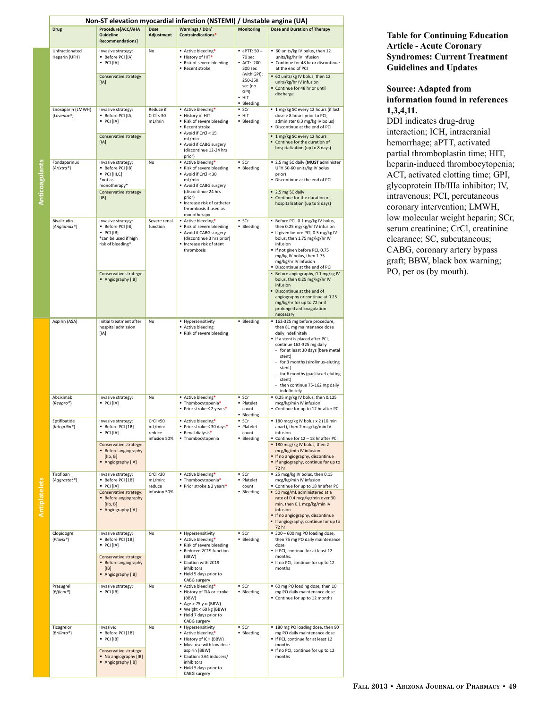|                | Non-ST elevation myocardial infarction (NSTEMI) / Unstable angina (UA) |                                                                                                                                              |                                                |                                                                                                                                                                                                              |                                                                                                                            |                                                                                                                                                                                                                                                                                                                                                                                                                                                                                                    |
|----------------|------------------------------------------------------------------------|----------------------------------------------------------------------------------------------------------------------------------------------|------------------------------------------------|--------------------------------------------------------------------------------------------------------------------------------------------------------------------------------------------------------------|----------------------------------------------------------------------------------------------------------------------------|----------------------------------------------------------------------------------------------------------------------------------------------------------------------------------------------------------------------------------------------------------------------------------------------------------------------------------------------------------------------------------------------------------------------------------------------------------------------------------------------------|
|                | <b>Drug</b>                                                            | Procedure[ACC/AHA<br><b>Guideline</b><br><b>Recommendations]</b>                                                                             | <b>Dose</b><br>Adjustment                      | <b>Warnings / DDI/</b><br>Contraindications*                                                                                                                                                                 | <b>Monitoring</b>                                                                                                          | <b>Dose and Duration of Therapy</b>                                                                                                                                                                                                                                                                                                                                                                                                                                                                |
|                | Unfractionated<br>Heparin (UFH)                                        | Invasive strategy:<br>Before PCI [IA]<br>PCI[IA]<br>Conservative strategy<br>[IA]                                                            | No                                             | Active bleeding*<br>. History of HIT*<br>Risk of severe bleeding<br>Recent stroke                                                                                                                            | $\blacksquare$ aPTT: 50 -<br>70 sec<br><b>ACT: 200-</b><br>300 sec<br>(with GPI);<br>250-350<br>sec (no<br>GPI)<br>$- HIT$ | ■ 60 units/kg IV bolus, then 12<br>units/kg/hr IV infusion<br>Continue for 48 hr or discontinue<br>at the end of PCI<br>• 60 units/kg IV bolus, then 12<br>units/kg/hr IV infusion<br>Continue for 48 hr or until<br>discharge                                                                                                                                                                                                                                                                     |
|                | Enoxaparin (LMWH)<br>{Lovenox®}                                        | Invasive strategy:<br>Before PCI [IA]<br>· PCI [IA]<br>Conservative strategy<br>[IA]                                                         | Reduce if<br>CrCl < 30<br>mL/min               | Active bleeding*<br>. History of HIT<br>Risk of severe bleeding<br>Recent stroke<br>Avoid if CrCl < 15<br>mL/min<br>Avoid if CABG surgery<br>(discontinue 12-24 hrs<br>prior)                                | • Bleeding<br>$-$ SCr<br>$- HIT$<br><b>Bleeding</b>                                                                        | " 1 mg/kg SC every 12 hours (if last<br>dose > 8 hours prior to PCI,<br>administer 0.3 mg/kg IV bolus)<br>Discontinue at the end of PCI<br>■ 1 mg/kg SC every 12 hours<br>Continue for the duration of<br>hospitalization (up to 8 days)                                                                                                                                                                                                                                                           |
| Anticoagulants | Fondaparinux<br>{Arixtra®}                                             | Invasive strategy:<br>Before PCI [IB]<br>PCI [III, C]<br>*not as<br>monotherapy*<br>Conservative strategy<br>[IB]                            | No                                             | Active bleeding*<br>Risk of severe bleeding<br>Avoid if CrCl < 30<br>mL/min<br>Avoid if CABG surgery<br>(discontinue 24 hrs<br>prior)<br>· Increase risk of catheter<br>thrombosis if used as<br>monotherapy | $-$ SCr<br>• Bleeding                                                                                                      | " 2.5 mg SC daily (MUST administer<br>UFH 50-60 units/kg IV bolus<br>prior)<br>Discontinue at the end of PCI<br>■ 2.5 mg SC daily<br>Continue for the duration of<br>hospitalization (up to 8 days)                                                                                                                                                                                                                                                                                                |
|                | Bivalirudin<br>{Angiomax®}                                             | Invasive strategy:<br>Before PCI [IB]<br>PCI [IB]<br>*can be used if high<br>risk of bleeding*<br>Conservative strategy:<br>Angiography [IB] | Severe renal<br>function                       | Active bleeding*<br>Risk of severe bleeding<br>Avoid if CABG surgery<br>(discontinue 3 hrs prior)<br>Increase risk of stent<br>thrombosis                                                                    | $-$ SCr<br>• Bleeding                                                                                                      | Before PCI, 0.1 mg/kg IV bolus,<br>then 0.25 mg/kg/hr IV infusion<br>If given before PCI, 0.5 mg/kg IV<br>bolus, then 1.75 mg/kg/hr IV<br>infusion<br>If not given before PCI, 0.75<br>mg/kg IV bolus, then 1.75<br>mg/kg/hr IV infusion<br>Discontinue at the end of PCI<br>Before angiography, 0.1 mg/kg IV<br>bolus, then 0.25 mg/kg/hr IV<br>infusion<br>Discontinue at the end of<br>angiography or continue at 0.25<br>mg/kg/hr for up to 72 hr if<br>prolonged anticoagulation<br>necessary |
|                | Aspirin (ASA)                                                          | Initial treatment after<br>hospital admission<br>[IA]                                                                                        | No                                             | • Hypersensitivity<br>Active bleeding<br>Risk of severe bleeding                                                                                                                                             | <b>Bleeding</b>                                                                                                            | ■ 162-325 mg before procedure,<br>then 81 mg maintenance dose<br>daily indefinitely<br>If a stent is placed after PCI,<br>continue 162-325 mg daily<br>for at least 30 days (bare metal<br>stent)<br>for 3 months (sirolimus-eluting<br>stent)<br>for 6 months (paclitaxel-eluting<br>stent)<br>then continue 75-162 mg daily<br>indefinitely                                                                                                                                                      |
|                | Abciximab<br>{Reopro®}                                                 | Invasive strategy:<br>PCI[IA]                                                                                                                | No                                             | Active bleeding*<br>. Thombocytopenia*<br>■ Prior stroke ≤ 2 years*                                                                                                                                          | $-$ SCr<br>· Platelet<br>count<br>• Bleeding                                                                               | ■ 0.25 mg/kg IV bolus, then 0.125<br>mcg/kg/min IV infusion<br>Continue for up to 12 hr after PCI                                                                                                                                                                                                                                                                                                                                                                                                  |
|                | Eptifibatide<br>${Intergrilin$ <sup>®</sup> }                          | Invasive strategy:<br>Before PCI [1B]<br>PCI[IA]<br>Conservative strategy:<br><b>Before angiography</b><br>[IIb, B]<br>Angiography [IA]      | CrCl < 50<br>mL/min:<br>reduce<br>infusion 50% | Active bleeding*<br>■ Prior stroke ≤ 30 days*<br>- Renal dialysis*<br>· Thombocytopenia                                                                                                                      | $-$ SCr<br>· Platelet<br>count<br><b>Bleeding</b>                                                                          | " 180 mcg/kg IV bolus x 2 (10 min<br>apart), then 2 mcg/kg/min IV<br>infusion<br>Continue for 12 - 18 hr after PCI<br>■ 180 mcg/kg IV bolus, then 2<br>mcg/kg/min IV infusion<br>. If no angiography, discontinue<br>" If angiography, continue for up to<br>72 hr                                                                                                                                                                                                                                 |
| Antiplatelets  | Tirofiban<br>{Aggrastat®}                                              | Invasive strategy:<br>Before PCI [1B]<br>PCI[IA]<br>Conservative strategy:<br>Before angiography<br>[IIb, B]<br>Angiography [IA]             | CrCl < 30<br>mL/min:<br>reduce<br>infusion 50% | Active bleeding*<br>" Thombocytopenia*<br>■ Prior stroke ≤ 2 years*                                                                                                                                          | $-$ SCr<br>· Platelet<br>count<br><b>Bleeding</b>                                                                          | ■ 25 mcg/kg IV bolus, then 0.15<br>mcg/kg/min IV infusion<br>Continue for up to 18 hr after PCI<br>50 mcg/mL administered at a<br>rate of 0.4 mcg/kg/min over 30<br>min, then 0.1 mcg/kg/min IV<br>infusion<br>. If no angiography, discontinue<br>If angiography, continue for up to<br>72 hr                                                                                                                                                                                                     |
|                | Clopidogrel<br>${Plavix*$                                              | Invasive strategy:<br>Before PCI [1B]<br>PCI[IA]<br>Conservative strategy:<br>Before angiography<br>$[IB]$<br>Angiography [IB]               | No                                             | • Hypersensitivity<br>Active bleeding*<br>Risk of severe bleeding<br>Reduced 2C19 function<br>(BBW)<br>Caution with 2C19<br>inhibitors<br>Hold 5 days prior to<br>CABG surgery                               | $-$ SCr<br>· Bleeding                                                                                                      | 300 - 600 mg PO loading dose,<br>then 75 mg PO daily maintenance<br>dose<br>If PCI, continue for at least 12<br>months.<br>If no PCI, continue for up to 12<br>months                                                                                                                                                                                                                                                                                                                              |
|                | Prasugrel<br>{Effient <sup>®</sup> }                                   | Invasive strategy:<br>PCI [IB]                                                                                                               | No                                             | Active bleeding*<br>History of TIA or stroke<br>(BBW)<br>Age > 75 y.o.(BBW)<br>■ Weight < 60 kg (BBW)<br>Hold 7 days prior to<br>CABG surgery                                                                | $-$ SCr<br><b>Bleeding</b>                                                                                                 | 60 mg PO loading dose, then 10<br>mg PO daily maintenance dose<br>Continue for up to 12 months                                                                                                                                                                                                                                                                                                                                                                                                     |
|                | Ticagrelor<br>${Brilinta^{\circ}}$                                     | Invasive:<br>Before PCI [1B]<br>PCI [IB]<br>Conservative strategy:<br>• No angiography [IB]<br>Angiography [IB]                              | No                                             | • Hypersensitivity<br>Active bleeding*<br>History of ICH (BBW)<br>Must use with low dose<br>aspirin (BBW)<br>Caution: 3A4 inducers/<br>inhibitors<br>Hold 5 days prior to<br>CABG surgery                    | $-$ SCr<br>• Bleeding                                                                                                      | 180 mg PO loading dose, then 90<br>mg PO daily maintenance dose<br>If PCI, continue for at least 12<br>months<br>If no PCI, continue for up to 12<br>months                                                                                                                                                                                                                                                                                                                                        |

**Table for Continuing Education Article - Acute Coronary Syndromes: Current Treatment Guidelines and Updates** 

#### **Source: Adapted from information found in references 1,3,4,11.**

DDI indicates drug-drug interaction; ICH, intracranial hemorrhage; aPTT, activated partial thromboplastin time; HIT, heparin-induced thrombocytopenia; ACT, activated clotting time; GPI, glycoprotein IIb/IIIa inhibitor; IV, intravenous; PCI, percutaneous coronary intervention; LMWH, low molecular weight heparin; SCr, serum creatinine; CrCl, creatinine clearance; SC, subcutaneous; CABG, coronary artery bypass graft; BBW, black box warning; PO, per os (by mouth).